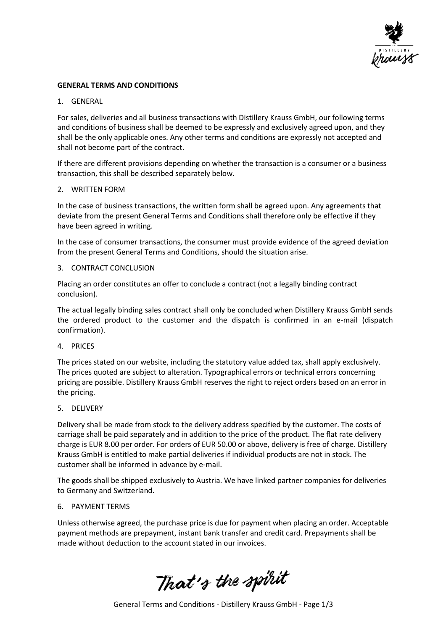

# **GENERAL TERMS AND CONDITIONS**

# 1. GENERAL

For sales, deliveries and all business transactions with Distillery Krauss GmbH, our following terms and conditions of business shall be deemed to be expressly and exclusively agreed upon, and they shall be the only applicable ones. Any other terms and conditions are expressly not accepted and shall not become part of the contract.

If there are different provisions depending on whether the transaction is a consumer or a business transaction, this shall be described separately below.

### 2. WRITTEN FORM

In the case of business transactions, the written form shall be agreed upon. Any agreements that deviate from the present General Terms and Conditions shall therefore only be effective if they have been agreed in writing.

In the case of consumer transactions, the consumer must provide evidence of the agreed deviation from the present General Terms and Conditions, should the situation arise.

# 3. CONTRACT CONCLUSION

Placing an order constitutes an offer to conclude a contract (not a legally binding contract conclusion).

The actual legally binding sales contract shall only be concluded when Distillery Krauss GmbH sends the ordered product to the customer and the dispatch is confirmed in an e-mail (dispatch confirmation).

### 4. PRICES

The prices stated on our website, including the statutory value added tax, shall apply exclusively. The prices quoted are subject to alteration. Typographical errors or technical errors concerning pricing are possible. Distillery Krauss GmbH reserves the right to reject orders based on an error in the pricing.

### 5. DELIVERY

Delivery shall be made from stock to the delivery address specified by the customer. The costs of carriage shall be paid separately and in addition to the price of the product. The flat rate delivery charge is EUR 8.00 per order. For orders of EUR 50.00 or above, delivery is free of charge. Distillery Krauss GmbH is entitled to make partial deliveries if individual products are not in stock. The customer shall be informed in advance by e-mail.

The goods shall be shipped exclusively to Austria. We have linked partner companies for deliveries to Germany and Switzerland.

### 6. PAYMENT TERMS

Unless otherwise agreed, the purchase price is due for payment when placing an order. Acceptable payment methods are prepayment, instant bank transfer and credit card. Prepayments shall be made without deduction to the account stated in our invoices.

That's the spirit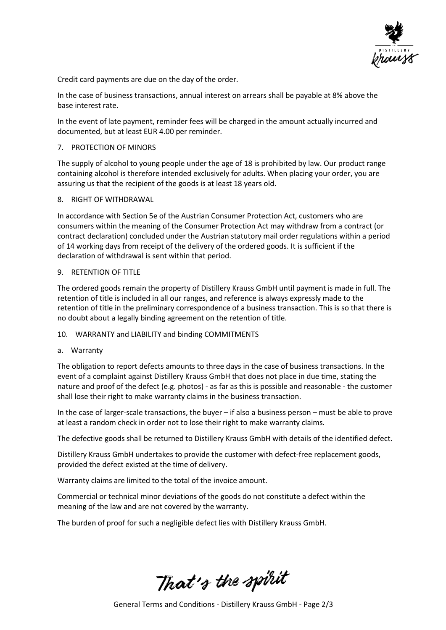

Credit card payments are due on the day of the order.

In the case of business transactions, annual interest on arrears shall be payable at 8% above the base interest rate.

In the event of late payment, reminder fees will be charged in the amount actually incurred and documented, but at least EUR 4.00 per reminder.

# 7. PROTECTION OF MINORS

The supply of alcohol to young people under the age of 18 is prohibited by law. Our product range containing alcohol is therefore intended exclusively for adults. When placing your order, you are assuring us that the recipient of the goods is at least 18 years old.

### 8. RIGHT OF WITHDRAWAL

In accordance with Section 5e of the Austrian Consumer Protection Act, customers who are consumers within the meaning of the Consumer Protection Act may withdraw from a contract (or contract declaration) concluded under the Austrian statutory mail order regulations within a period of 14 working days from receipt of the delivery of the ordered goods. It is sufficient if the declaration of withdrawal is sent within that period.

### 9. RETENTION OF TITLE

The ordered goods remain the property of Distillery Krauss GmbH until payment is made in full. The retention of title is included in all our ranges, and reference is always expressly made to the retention of title in the preliminary correspondence of a business transaction. This is so that there is no doubt about a legally binding agreement on the retention of title.

# 10. WARRANTY and LIABILITY and binding COMMITMENTS

a. Warranty

The obligation to report defects amounts to three days in the case of business transactions. In the event of a complaint against Distillery Krauss GmbH that does not place in due time, stating the nature and proof of the defect (e.g. photos) - as far as this is possible and reasonable - the customer shall lose their right to make warranty claims in the business transaction.

In the case of larger-scale transactions, the buyer – if also a business person – must be able to prove at least a random check in order not to lose their right to make warranty claims.

The defective goods shall be returned to Distillery Krauss GmbH with details of the identified defect.

Distillery Krauss GmbH undertakes to provide the customer with defect-free replacement goods, provided the defect existed at the time of delivery.

Warranty claims are limited to the total of the invoice amount.

Commercial or technical minor deviations of the goods do not constitute a defect within the meaning of the law and are not covered by the warranty.

The burden of proof for such a negligible defect lies with Distillery Krauss GmbH.

That's the spirit